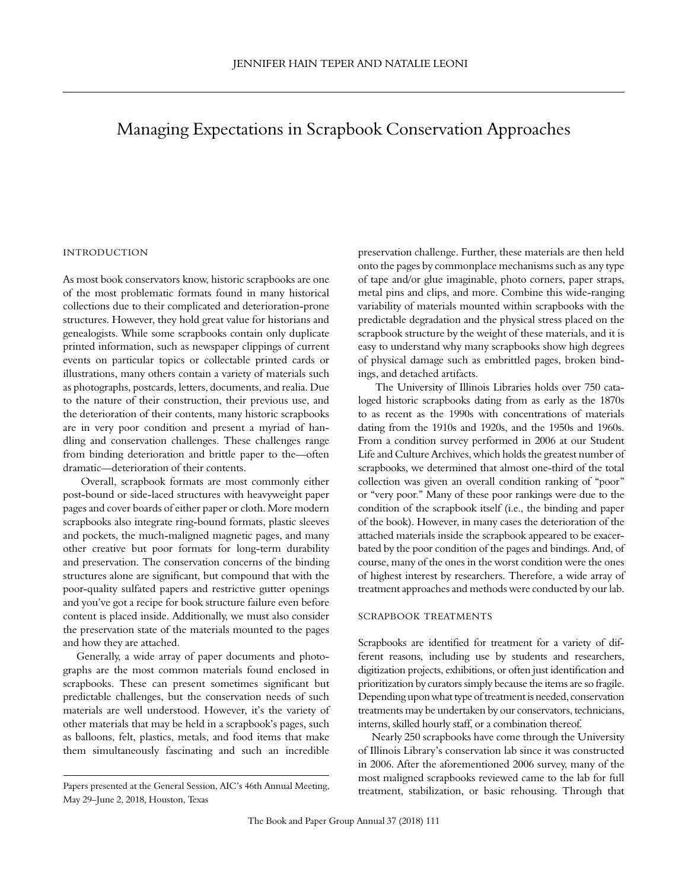# Managing Expectations in Scrapbook Conservation Approaches

## **INTRODUCTION**

As most book conservators know, historic scrapbooks are one of the most problematic formats found in many historical collections due to their complicated and deterioration-prone structures. However, they hold great value for historians and genealogists. While some scrapbooks contain only duplicate printed information, such as newspaper clippings of current events on particular topics or collectable printed cards or illustrations, many others contain a variety of materials such as photographs, postcards, letters, documents, and realia. Due to the nature of their construction, their previous use, and the deterioration of their contents, many historic scrapbooks are in very poor condition and present a myriad of handling and conservation challenges. These challenges range from binding deterioration and brittle paper to the—often dramatic—deterioration of their contents.

 Overall, scrapbook formats are most commonly either post-bound or side-laced structures with heavyweight paper pages and cover boards of either paper or cloth. More modern scrapbooks also integrate ring-bound formats, plastic sleeves and pockets, the much-maligned magnetic pages, and many other creative but poor formats for long-term durability and preservation. The conservation concerns of the binding structures alone are significant, but compound that with the poor-quality sulfated papers and restrictive gutter openings and you've got a recipe for book structure failure even before content is placed inside. Additionally, we must also consider the preservation state of the materials mounted to the pages and how they are attached.

Generally, a wide array of paper documents and photographs are the most common materials found enclosed in scrapbooks. These can present sometimes significant but predictable challenges, but the conservation needs of such materials are well understood. However, it's the variety of other materials that may be held in a scrapbook's pages, such as balloons, felt, plastics, metals, and food items that make them simultaneously fascinating and such an incredible preservation challenge. Further, these materials are then held onto the pages by commonplace mechanisms such as any type of tape and/or glue imaginable, photo corners, paper straps, metal pins and clips, and more. Combine this wide-ranging variability of materials mounted within scrapbooks with the predictable degradation and the physical stress placed on the scrapbook structure by the weight of these materials, and it is easy to understand why many scrapbooks show high degrees of physical damage such as embrittled pages, broken bindings, and detached artifacts.

 The University of Illinois Libraries holds over 750 cataloged historic scrapbooks dating from as early as the 1870s to as recent as the 1990s with concentrations of materials dating from the 1910s and 1920s, and the 1950s and 1960s. From a condition survey performed in 2006 at our Student Life and Culture Archives, which holds the greatest number of scrapbooks, we determined that almost one-third of the total collection was given an overall condition ranking of "poor" or "very poor." Many of these poor rankings were due to the condition of the scrapbook itself (i.e., the binding and paper of the book). However, in many cases the deterioration of the attached materials inside the scrapbook appeared to be exacerbated by the poor condition of the pages and bindings. And, of course, many of the ones in the worst condition were the ones of highest interest by researchers. Therefore, a wide array of treatment approaches and methods were conducted by our lab.

#### scrapbook treatments

Scrapbooks are identified for treatment for a variety of different reasons, including use by students and researchers, digitization projects, exhibitions, or often just identification and prioritization by curators simply because the items are so fragile. Depending upon what type of treatment is needed, conservation treatments may be undertaken by our conservators, technicians, interns, skilled hourly staff, or a combination thereof.

Nearly 250 scrapbooks have come through the University of Illinois Library's conservation lab since it was constructed in 2006. After the aforementioned 2006 survey, many of the most maligned scrapbooks reviewed came to the lab for full treatment, stabilization, or basic rehousing. Through that

Papers presented at the General Session, AIC's 46th Annual Meeting, May 29–June 2, 2018, Houston, Texas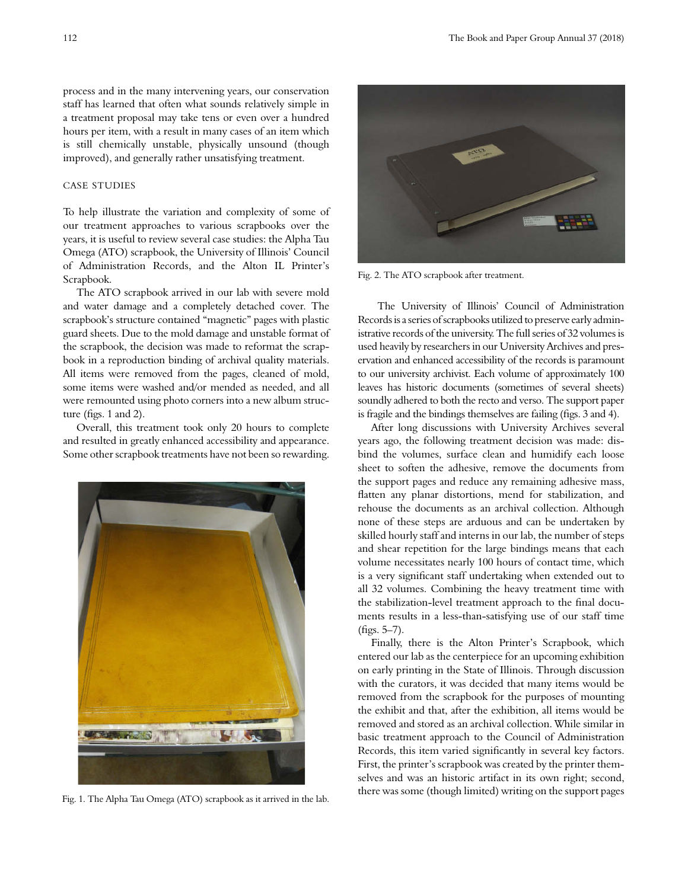process and in the many intervening years, our conservation staff has learned that often what sounds relatively simple in a treatment proposal may take tens or even over a hundred hours per item, with a result in many cases of an item which is still chemically unstable, physically unsound (though improved), and generally rather unsatisfying treatment.

# case studies

To help illustrate the variation and complexity of some of our treatment approaches to various scrapbooks over the years, it is useful to review several case studies: the Alpha Tau Omega (ATO) scrapbook, the University of Illinois' Council of Administration Records, and the Alton IL Printer's Scrapbook.

The ATO scrapbook arrived in our lab with severe mold and water damage and a completely detached cover. The scrapbook's structure contained "magnetic" pages with plastic guard sheets. Due to the mold damage and unstable format of the scrapbook, the decision was made to reformat the scrapbook in a reproduction binding of archival quality materials. All items were removed from the pages, cleaned of mold, some items were washed and/or mended as needed, and all were remounted using photo corners into a new album structure (figs. 1 and 2).

Overall, this treatment took only 20 hours to complete and resulted in greatly enhanced accessibility and appearance. Some other scrapbook treatments have not been so rewarding.



Fig. 1. The Alpha Tau Omega (ATO) scrapbook as it arrived in the lab.



Fig. 2. The ATO scrapbook after treatment.

 The University of Illinois' Council of Administration Records is a series of scrapbooks utilized to preserve early administrative records of the university. The full series of 32 volumes is used heavily by researchers in our University Archives and preservation and enhanced accessibility of the records is paramount to our university archivist. Each volume of approximately 100 leaves has historic documents (sometimes of several sheets) soundly adhered to both the recto and verso. The support paper is fragile and the bindings themselves are failing (figs. 3 and 4).

After long discussions with University Archives several years ago, the following treatment decision was made: disbind the volumes, surface clean and humidify each loose sheet to soften the adhesive, remove the documents from the support pages and reduce any remaining adhesive mass, flatten any planar distortions, mend for stabilization, and rehouse the documents as an archival collection. Although none of these steps are arduous and can be undertaken by skilled hourly staff and interns in our lab, the number of steps and shear repetition for the large bindings means that each volume necessitates nearly 100 hours of contact time, which is a very significant staff undertaking when extended out to all 32 volumes. Combining the heavy treatment time with the stabilization-level treatment approach to the final documents results in a less-than-satisfying use of our staff time (figs. 5–7).

Finally, there is the Alton Printer's Scrapbook, which entered our lab as the centerpiece for an upcoming exhibition on early printing in the State of Illinois. Through discussion with the curators, it was decided that many items would be removed from the scrapbook for the purposes of mounting the exhibit and that, after the exhibition, all items would be removed and stored as an archival collection. While similar in basic treatment approach to the Council of Administration Records, this item varied significantly in several key factors. First, the printer's scrapbook was created by the printer themselves and was an historic artifact in its own right; second, there was some (though limited) writing on the support pages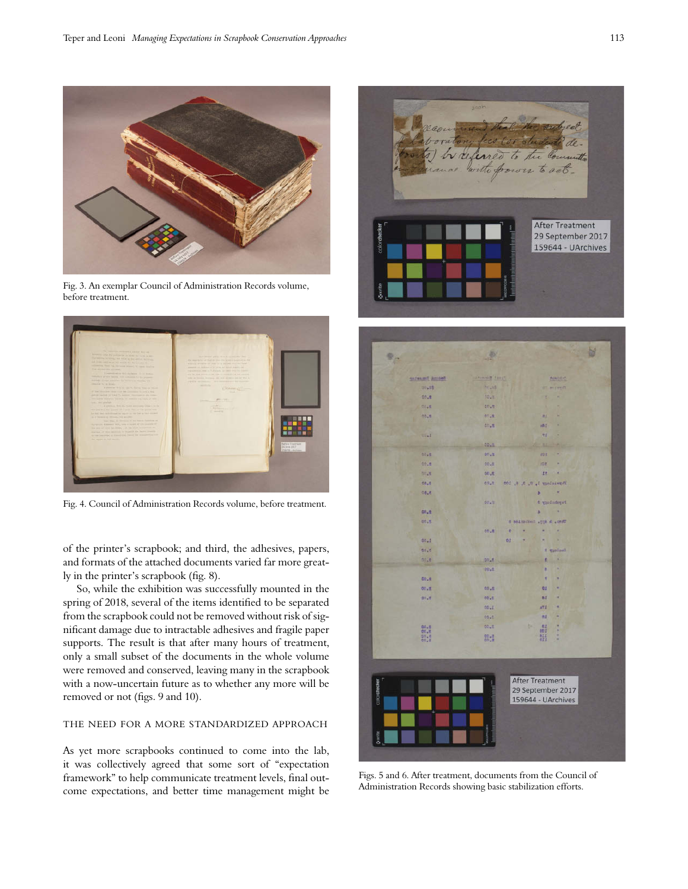

Fig. 3. An exemplar Council of Administration Records volume, before treatment.



Fig. 4. Council of Administration Records volume, before treatment.

of the printer's scrapbook; and third, the adhesives, papers, and formats of the attached documents varied far more greatly in the printer's scrapbook (fig. 8).

So, while the exhibition was successfully mounted in the spring of 2018, several of the items identified to be separated from the scrapbook could not be removed without risk of significant damage due to intractable adhesives and fragile paper supports. The result is that after many hours of treatment, only a small subset of the documents in the whole volume were removed and conserved, leaving many in the scrapbook with a now-uncertain future as to whether any more will be removed or not (figs. 9 and 10).

#### the need for a more standardized approach

As yet more scrapbooks continued to come into the lab, it was collectively agreed that some sort of "expectation framework" to help communicate treatment levels, final outcome expectations, and better time management might be



|              |                          | ð.           |                           |                               | Ы |
|--------------|--------------------------|--------------|---------------------------|-------------------------------|---|
|              |                          |              |                           |                               |   |
|              | Suddenly President       | Frank Birmst |                           | <b>FANSIS</b>                 |   |
|              | <b>DO<sub>+</sub>R\$</b> | <b>PELSS</b> | ۰                         | <b>Werter</b>                 |   |
|              | 00.5                     | 0010         |                           | ×                             |   |
|              | 内容上图                     | 00.91        |                           | ٠                             |   |
|              | 00.11                    | 01.8         | <b>BE</b>                 | ×                             |   |
|              |                          | 00.8         | HBL                       | r                             |   |
|              | 0041                     |              | <b>tf</b>                 | ۶                             |   |
|              |                          | <b>DDATE</b> | и                         | ٠                             |   |
|              | <b>DDAR</b>              | 06.6         | <b>JOS</b>                | ×                             |   |
|              | 00.5                     | $00 - 0$     | <b>BOR</b>                | ٠                             |   |
|              | 10.10                    | 00.5         | 18                        |                               |   |
|              | 00.0                     | 07.7         | Formalogy 1, H. 3, W. 105 |                               |   |
|              | 08.8                     |              | s                         | u                             |   |
|              |                          | 00.11        | ×                         | # vaciodevel<br>$\rightarrow$ |   |
|              | 00.5<br>DU.S             |              | S selmical  pp. Amazing   |                               |   |
|              |                          | 00.8         | e                         |                               |   |
|              | $00 - 1$                 |              | oz                        |                               |   |
|              | 00 <sub>0</sub>          |              |                           | fl taulant                    |   |
|              | 02.5                     | 50.8         |                           |                               |   |
|              |                          | <b>DO.E</b>  | r                         |                               |   |
|              | 00.8                     |              | ٠                         | ٠                             |   |
|              | 00.8                     | 00.3         | <b>GI</b>                 | ×                             |   |
|              | 10.8                     | OD.E         | <b>n</b> z                | ٠                             |   |
|              |                          | 00.1         | n7.5                      | ٠                             |   |
|              |                          | 00.0         | nt                        | ×                             |   |
|              | $00+8$<br>co.8           | $00+1$       |                           | Ħ<br>×                        |   |
|              | $\frac{10.8}{00.8}$      | 86.8         | 註                         | ž                             |   |
|              |                          |              |                           |                               |   |
|              |                          |              |                           |                               |   |
|              |                          |              |                           |                               |   |
| colorateaker |                          |              | <b>After Treatment</b>    |                               |   |
|              |                          |              | 29 September 2017         |                               |   |
|              |                          |              | 159644 - UArchives        |                               |   |
|              |                          |              |                           |                               |   |
|              |                          |              |                           |                               |   |
| <b>Oxele</b> |                          |              |                           |                               |   |

Figs. 5 and 6. After treatment, documents from the Council of Administration Records showing basic stabilization efforts.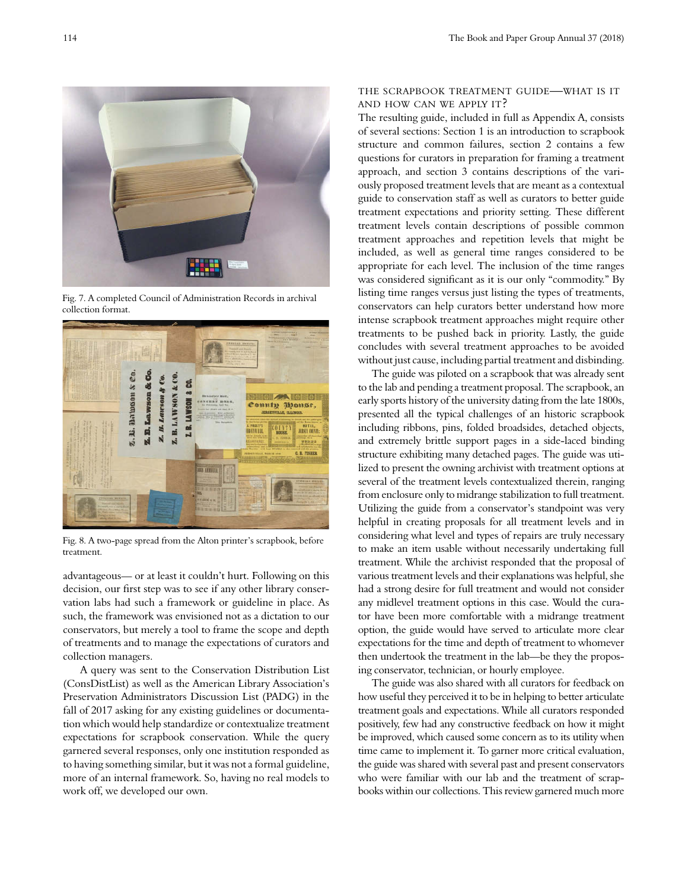

Fig. 7. A completed Council of Administration Records in archival collection format.



Fig. 8. A two-page spread from the Alton printer's scrapbook, before treatment.

advantageous— or at least it couldn't hurt. Following on this decision, our first step was to see if any other library conservation labs had such a framework or guideline in place. As such, the framework was envisioned not as a dictation to our conservators, but merely a tool to frame the scope and depth of treatments and to manage the expectations of curators and collection managers.

 A query was sent to the Conservation Distribution List (ConsDistList) as well as the American Library Association's Preservation Administrators Discussion List (PADG) in the fall of 2017 asking for any existing guidelines or documentation which would help standardize or contextualize treatment expectations for scrapbook conservation. While the query garnered several responses, only one institution responded as to having something similar, but it was not a formal guideline, more of an internal framework. So, having no real models to work off, we developed our own.

# the scrapbook treatment guide—what is it and how can we apply it?

The resulting guide, included in full as Appendix A, consists of several sections: Section 1 is an introduction to scrapbook structure and common failures, section 2 contains a few questions for curators in preparation for framing a treatment approach, and section 3 contains descriptions of the variously proposed treatment levels that are meant as a contextual guide to conservation staff as well as curators to better guide treatment expectations and priority setting. These different treatment levels contain descriptions of possible common treatment approaches and repetition levels that might be included, as well as general time ranges considered to be appropriate for each level. The inclusion of the time ranges was considered significant as it is our only "commodity." By listing time ranges versus just listing the types of treatments, conservators can help curators better understand how more intense scrapbook treatment approaches might require other treatments to be pushed back in priority. Lastly, the guide concludes with several treatment approaches to be avoided without just cause, including partial treatment and disbinding.

The guide was piloted on a scrapbook that was already sent to the lab and pending a treatment proposal. The scrapbook, an early sports history of the university dating from the late 1800s, presented all the typical challenges of an historic scrapbook including ribbons, pins, folded broadsides, detached objects, and extremely brittle support pages in a side-laced binding structure exhibiting many detached pages. The guide was utilized to present the owning archivist with treatment options at several of the treatment levels contextualized therein, ranging from enclosure only to midrange stabilization to full treatment. Utilizing the guide from a conservator's standpoint was very helpful in creating proposals for all treatment levels and in considering what level and types of repairs are truly necessary to make an item usable without necessarily undertaking full treatment. While the archivist responded that the proposal of various treatment levels and their explanations was helpful, she had a strong desire for full treatment and would not consider any midlevel treatment options in this case. Would the curator have been more comfortable with a midrange treatment option, the guide would have served to articulate more clear expectations for the time and depth of treatment to whomever then undertook the treatment in the lab—be they the proposing conservator, technician, or hourly employee.

The guide was also shared with all curators for feedback on how useful they perceived it to be in helping to better articulate treatment goals and expectations. While all curators responded positively, few had any constructive feedback on how it might be improved, which caused some concern as to its utility when time came to implement it. To garner more critical evaluation, the guide was shared with several past and present conservators who were familiar with our lab and the treatment of scrapbooks within our collections. This review garnered much more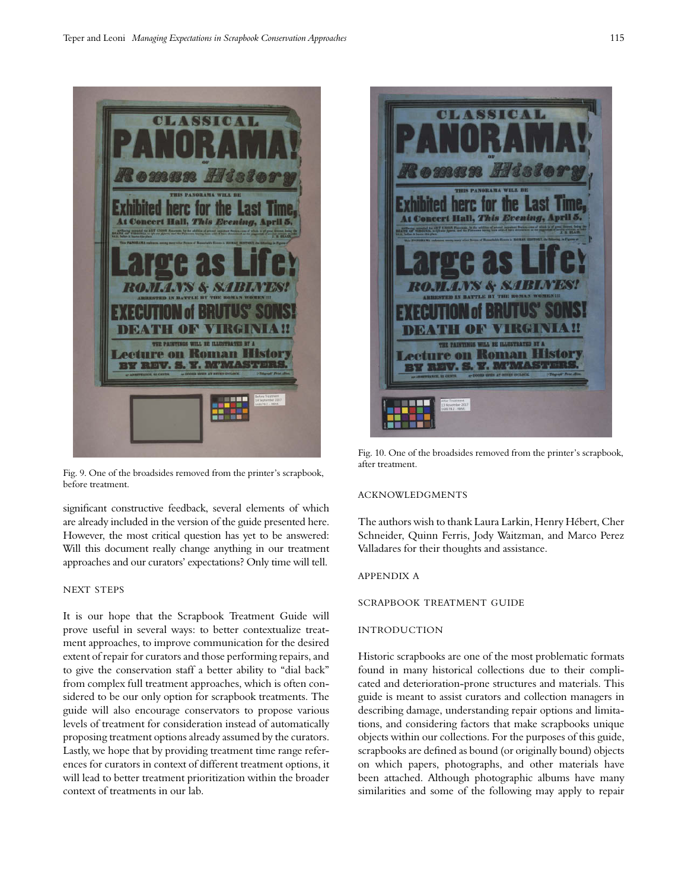

Fig. 9. One of the broadsides removed from the printer's scrapbook, before treatment.

significant constructive feedback, several elements of which are already included in the version of the guide presented here. However, the most critical question has yet to be answered: Will this document really change anything in our treatment approaches and our curators' expectations? Only time will tell.

#### NEXT STEPS

It is our hope that the Scrapbook Treatment Guide will prove useful in several ways: to better contextualize treatment approaches, to improve communication for the desired extent of repair for curators and those performing repairs, and to give the conservation staff a better ability to "dial back" from complex full treatment approaches, which is often considered to be our only option for scrapbook treatments. The guide will also encourage conservators to propose various levels of treatment for consideration instead of automatically proposing treatment options already assumed by the curators. Lastly, we hope that by providing treatment time range references for curators in context of different treatment options, it will lead to better treatment prioritization within the broader context of treatments in our lab.



Fig. 10. One of the broadsides removed from the printer's scrapbook, after treatment.

#### acknowledgments

The authors wish to thank Laura Larkin, Henry Hébert, Cher Schneider, Quinn Ferris, Jody Waitzman, and Marco Perez Valladares for their thoughts and assistance.

#### appendix a

scrapbook treatment guide

# **INTRODUCTION**

Historic scrapbooks are one of the most problematic formats found in many historical collections due to their complicated and deterioration-prone structures and materials. This guide is meant to assist curators and collection managers in describing damage, understanding repair options and limitations, and considering factors that make scrapbooks unique objects within our collections. For the purposes of this guide, scrapbooks are defined as bound (or originally bound) objects on which papers, photographs, and other materials have been attached. Although photographic albums have many similarities and some of the following may apply to repair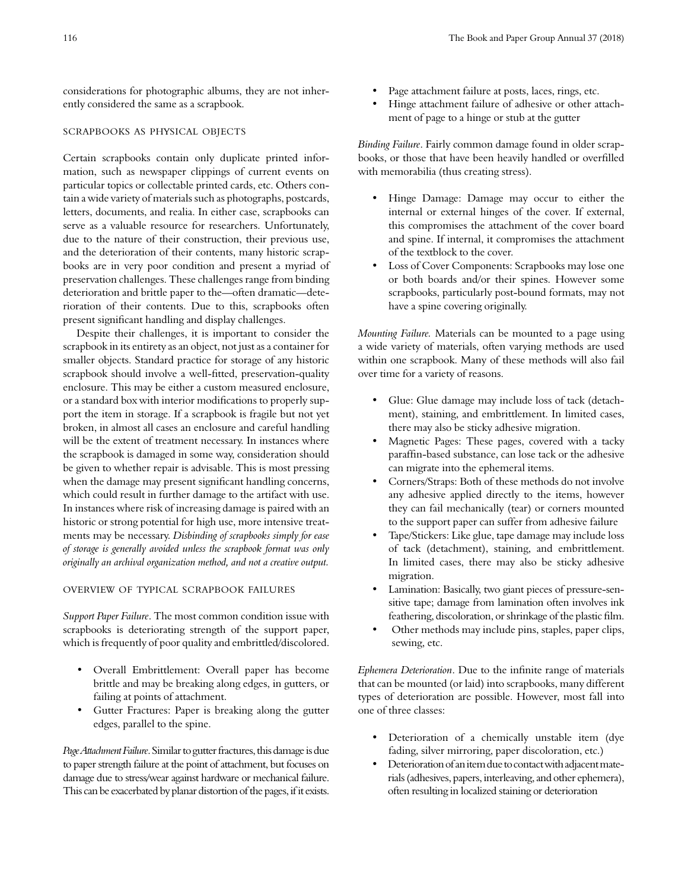considerations for photographic albums, they are not inherently considered the same as a scrapbook.

## scrapbooks as physical objects

Certain scrapbooks contain only duplicate printed information, such as newspaper clippings of current events on particular topics or collectable printed cards, etc. Others contain a wide variety of materials such as photographs, postcards, letters, documents, and realia. In either case, scrapbooks can serve as a valuable resource for researchers. Unfortunately, due to the nature of their construction, their previous use, and the deterioration of their contents, many historic scrapbooks are in very poor condition and present a myriad of preservation challenges. These challenges range from binding deterioration and brittle paper to the—often dramatic—deterioration of their contents. Due to this, scrapbooks often present significant handling and display challenges.

Despite their challenges, it is important to consider the scrapbook in its entirety as an object, not just as a container for smaller objects. Standard practice for storage of any historic scrapbook should involve a well-fitted, preservation-quality enclosure. This may be either a custom measured enclosure, or a standard box with interior modifications to properly support the item in storage. If a scrapbook is fragile but not yet broken, in almost all cases an enclosure and careful handling will be the extent of treatment necessary. In instances where the scrapbook is damaged in some way, consideration should be given to whether repair is advisable. This is most pressing when the damage may present significant handling concerns, which could result in further damage to the artifact with use. In instances where risk of increasing damage is paired with an historic or strong potential for high use, more intensive treatments may be necessary. *Disbinding of scrapbooks simply for ease of storage is generally avoided unless the scrapbook format was only originally an archival organization method, and not a creative output.*

# overview of typical scrapbook failures

*Support Paper Failure*. The most common condition issue with scrapbooks is deteriorating strength of the support paper, which is frequently of poor quality and embrittled/discolored.

- Overall Embrittlement: Overall paper has become brittle and may be breaking along edges, in gutters, or failing at points of attachment.
- Gutter Fractures: Paper is breaking along the gutter edges, parallel to the spine.

*Page Attachment Failure*. Similar to gutter fractures, this damage is due to paper strength failure at the point of attachment, but focuses on damage due to stress/wear against hardware or mechanical failure. This can be exacerbated by planar distortion of the pages, if it exists.

- Page attachment failure at posts, laces, rings, etc.
- Hinge attachment failure of adhesive or other attachment of page to a hinge or stub at the gutter

*Binding Failure*. Fairly common damage found in older scrapbooks, or those that have been heavily handled or overfilled with memorabilia (thus creating stress).

- Hinge Damage: Damage may occur to either the internal or external hinges of the cover. If external, this compromises the attachment of the cover board and spine. If internal, it compromises the attachment of the textblock to the cover.
- Loss of Cover Components: Scrapbooks may lose one or both boards and/or their spines. However some scrapbooks, particularly post-bound formats, may not have a spine covering originally.

*Mounting Failure.* Materials can be mounted to a page using a wide variety of materials, often varying methods are used within one scrapbook. Many of these methods will also fail over time for a variety of reasons.

- Glue: Glue damage may include loss of tack (detachment), staining, and embrittlement. In limited cases, there may also be sticky adhesive migration.
- Magnetic Pages: These pages, covered with a tacky paraffin-based substance, can lose tack or the adhesive can migrate into the ephemeral items.
- Corners/Straps: Both of these methods do not involve any adhesive applied directly to the items, however they can fail mechanically (tear) or corners mounted to the support paper can suffer from adhesive failure
- Tape/Stickers: Like glue, tape damage may include loss of tack (detachment), staining, and embrittlement. In limited cases, there may also be sticky adhesive migration.
- Lamination: Basically, two giant pieces of pressure-sensitive tape; damage from lamination often involves ink feathering, discoloration, or shrinkage of the plastic film.
- Other methods may include pins, staples, paper clips, sewing, etc.

*Ephemera Deterioration*. Due to the infinite range of materials that can be mounted (or laid) into scrapbooks, many different types of deterioration are possible. However, most fall into one of three classes:

- Deterioration of a chemically unstable item (dye fading, silver mirroring, paper discoloration, etc.)
- Deterioration of an item due to contact with adjacent materials (adhesives, papers, interleaving, and other ephemera), often resulting in localized staining or deterioration